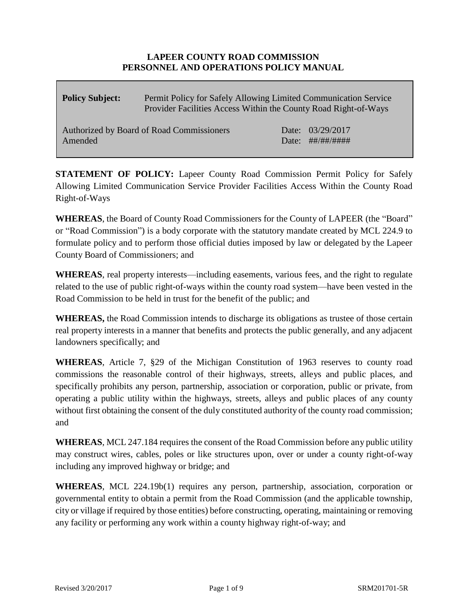## **LAPEER COUNTY ROAD COMMISSION PERSONNEL AND OPERATIONS POLICY MANUAL**

| <b>Policy Subject:</b>                               | Permit Policy for Safely Allowing Limited Communication Service<br>Provider Facilities Access Within the County Road Right-of-Ways |                                                         |
|------------------------------------------------------|------------------------------------------------------------------------------------------------------------------------------------|---------------------------------------------------------|
| Authorized by Board of Road Commissioners<br>Amended |                                                                                                                                    | Date: 03/29/2017<br>Date: $\# \# / \# \# / \# \# \# \#$ |

**STATEMENT OF POLICY:** Lapeer County Road Commission Permit Policy for Safely Allowing Limited Communication Service Provider Facilities Access Within the County Road Right-of-Ways

**WHEREAS**, the Board of County Road Commissioners for the County of LAPEER (the "Board" or "Road Commission") is a body corporate with the statutory mandate created by MCL 224.9 to formulate policy and to perform those official duties imposed by law or delegated by the Lapeer County Board of Commissioners; and

**WHEREAS**, real property interests—including easements, various fees, and the right to regulate related to the use of public right-of-ways within the county road system—have been vested in the Road Commission to be held in trust for the benefit of the public; and

**WHEREAS,** the Road Commission intends to discharge its obligations as trustee of those certain real property interests in a manner that benefits and protects the public generally, and any adjacent landowners specifically; and

**WHEREAS**, Article 7, §29 of the Michigan Constitution of 1963 reserves to county road commissions the reasonable control of their highways, streets, alleys and public places, and specifically prohibits any person, partnership, association or corporation, public or private, from operating a public utility within the highways, streets, alleys and public places of any county without first obtaining the consent of the duly constituted authority of the county road commission; and

**WHEREAS**, MCL 247.184 requires the consent of the Road Commission before any public utility may construct wires, cables, poles or like structures upon, over or under a county right-of-way including any improved highway or bridge; and

**WHEREAS**, MCL 224.19b(1) requires any person, partnership, association, corporation or governmental entity to obtain a permit from the Road Commission (and the applicable township, city or village if required by those entities) before constructing, operating, maintaining or removing any facility or performing any work within a county highway right-of-way; and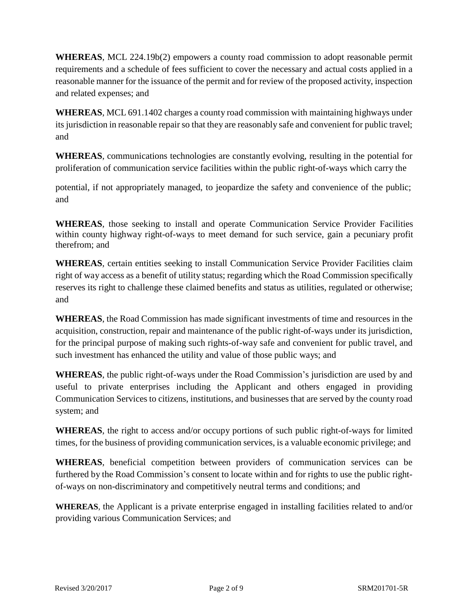**WHEREAS**, MCL 224.19b(2) empowers a county road commission to adopt reasonable permit requirements and a schedule of fees sufficient to cover the necessary and actual costs applied in a reasonable manner for the issuance of the permit and for review of the proposed activity, inspection and related expenses; and

**WHEREAS**, MCL 691.1402 charges a county road commission with maintaining highways under its jurisdiction in reasonable repair so that they are reasonably safe and convenient for public travel; and

**WHEREAS**, communications technologies are constantly evolving, resulting in the potential for proliferation of communication service facilities within the public right-of-ways which carry the

potential, if not appropriately managed, to jeopardize the safety and convenience of the public; and

**WHEREAS**, those seeking to install and operate Communication Service Provider Facilities within county highway right-of-ways to meet demand for such service, gain a pecuniary profit therefrom; and

**WHEREAS**, certain entities seeking to install Communication Service Provider Facilities claim right of way access as a benefit of utility status; regarding which the Road Commission specifically reserves its right to challenge these claimed benefits and status as utilities, regulated or otherwise; and

**WHEREAS**, the Road Commission has made significant investments of time and resources in the acquisition, construction, repair and maintenance of the public right-of-ways under its jurisdiction, for the principal purpose of making such rights-of-way safe and convenient for public travel, and such investment has enhanced the utility and value of those public ways; and

**WHEREAS**, the public right-of-ways under the Road Commission's jurisdiction are used by and useful to private enterprises including the Applicant and others engaged in providing Communication Services to citizens, institutions, and businesses that are served by the county road system; and

**WHEREAS**, the right to access and/or occupy portions of such public right-of-ways for limited times, for the business of providing communication services, is a valuable economic privilege; and

**WHEREAS**, beneficial competition between providers of communication services can be furthered by the Road Commission's consent to locate within and for rights to use the public rightof-ways on non-discriminatory and competitively neutral terms and conditions; and

**WHEREAS**, the Applicant is a private enterprise engaged in installing facilities related to and/or providing various Communication Services; and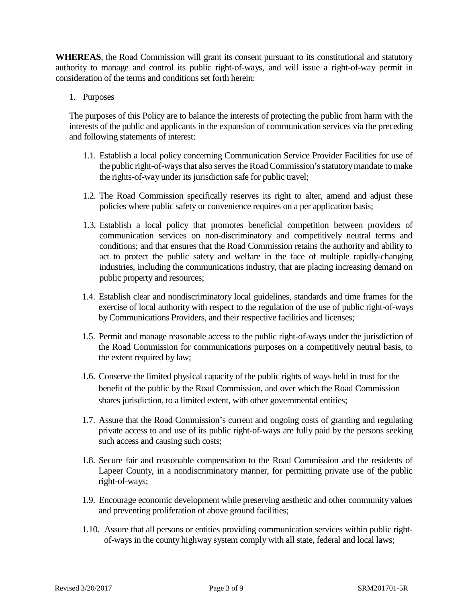**WHEREAS**, the Road Commission will grant its consent pursuant to its constitutional and statutory authority to manage and control its public right-of-ways, and will issue a right-of-way permit in consideration of the terms and conditions set forth herein:

1. Purposes

The purposes of this Policy are to balance the interests of protecting the public from harm with the interests of the public and applicants in the expansion of communication services via the preceding and following statements of interest:

- 1.1. Establish a local policy concerning Communication Service Provider Facilities for use of the public right-of-ways that also serves the Road Commission's statutory mandate to make the rights-of-way under its jurisdiction safe for public travel;
- 1.2. The Road Commission specifically reserves its right to alter, amend and adjust these policies where public safety or convenience requires on a per application basis;
- 1.3. Establish a local policy that promotes beneficial competition between providers of communication services on non-discriminatory and competitively neutral terms and conditions; and that ensures that the Road Commission retains the authority and ability to act to protect the public safety and welfare in the face of multiple rapidly-changing industries, including the communications industry, that are placing increasing demand on public property and resources;
- 1.4. Establish clear and nondiscriminatory local guidelines, standards and time frames for the exercise of local authority with respect to the regulation of the use of public right-of-ways by Communications Providers, and their respective facilities and licenses;
- 1.5. Permit and manage reasonable access to the public right-of-ways under the jurisdiction of the Road Commission for communications purposes on a competitively neutral basis, to the extent required by law;
- 1.6. Conserve the limited physical capacity of the public rights of ways held in trust for the benefit of the public by the Road Commission, and over which the Road Commission shares jurisdiction, to a limited extent, with other governmental entities;
- 1.7. Assure that the Road Commission's current and ongoing costs of granting and regulating private access to and use of its public right-of-ways are fully paid by the persons seeking such access and causing such costs;
- 1.8. Secure fair and reasonable compensation to the Road Commission and the residents of Lapeer County, in a nondiscriminatory manner, for permitting private use of the public right-of-ways;
- 1.9. Encourage economic development while preserving aesthetic and other community values and preventing proliferation of above ground facilities;
- 1.10. Assure that all persons or entities providing communication services within public rightof-ways in the county highway system comply with all state, federal and local laws;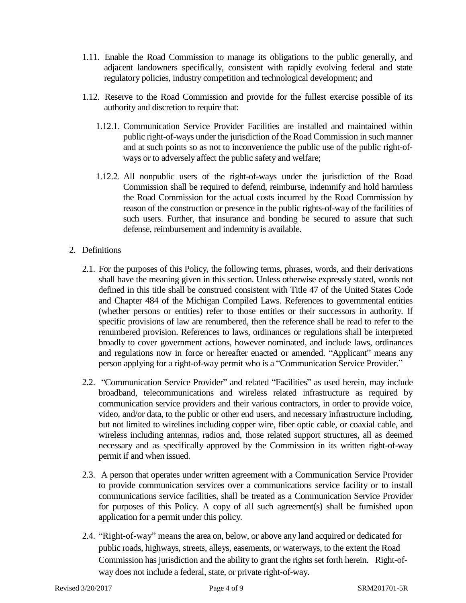- 1.11. Enable the Road Commission to manage its obligations to the public generally, and adjacent landowners specifically, consistent with rapidly evolving federal and state regulatory policies, industry competition and technological development; and
- 1.12. Reserve to the Road Commission and provide for the fullest exercise possible of its authority and discretion to require that:
	- 1.12.1. Communication Service Provider Facilities are installed and maintained within public right-of-ways under the jurisdiction of the Road Commission in such manner and at such points so as not to inconvenience the public use of the public right-ofways or to adversely affect the public safety and welfare;
	- 1.12.2. All nonpublic users of the right-of-ways under the jurisdiction of the Road Commission shall be required to defend, reimburse, indemnify and hold harmless the Road Commission for the actual costs incurred by the Road Commission by reason of the construction or presence in the public rights-of-way of the facilities of such users. Further, that insurance and bonding be secured to assure that such defense, reimbursement and indemnity is available.

## 2. Definitions

- 2.1. For the purposes of this Policy, the following terms, phrases, words, and their derivations shall have the meaning given in this section. Unless otherwise expressly stated, words not defined in this title shall be construed consistent with Title 47 of the United States Code and Chapter 484 of the Michigan Compiled Laws. References to governmental entities (whether persons or entities) refer to those entities or their successors in authority. If specific provisions of law are renumbered, then the reference shall be read to refer to the renumbered provision. References to laws, ordinances or regulations shall be interpreted broadly to cover government actions, however nominated, and include laws, ordinances and regulations now in force or hereafter enacted or amended. "Applicant" means any person applying for a right-of-way permit who is a "Communication Service Provider."
- 2.2. "Communication Service Provider" and related "Facilities" as used herein, may include broadband, telecommunications and wireless related infrastructure as required by communication service providers and their various contractors, in order to provide voice, video, and/or data, to the public or other end users, and necessary infrastructure including, but not limited to wirelines including copper wire, fiber optic cable, or coaxial cable, and wireless including antennas, radios and, those related support structures, all as deemed necessary and as specifically approved by the Commission in its written right-of-way permit if and when issued.
- 2.3. A person that operates under written agreement with a Communication Service Provider to provide communication services over a communications service facility or to install communications service facilities, shall be treated as a Communication Service Provider for purposes of this Policy. A copy of all such agreement(s) shall be furnished upon application for a permit under this policy.
- 2.4. "Right-of-way" means the area on, below, or above any land acquired or dedicated for public roads, highways, streets, alleys, easements, or waterways, to the extent the Road Commission has jurisdiction and the ability to grant the rights set forth herein. Right-ofway does not include a federal, state, or private right-of-way.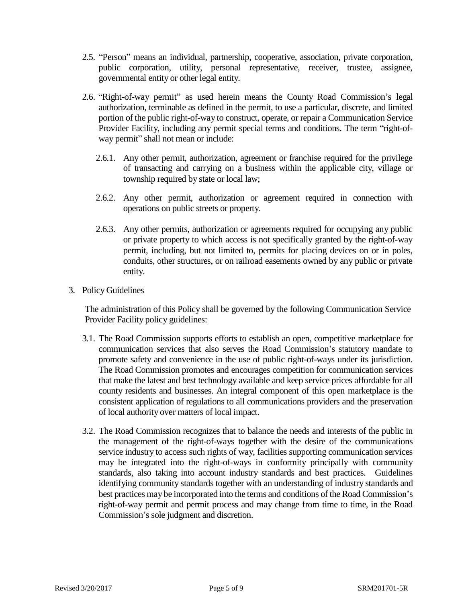- 2.5. "Person" means an individual, partnership, cooperative, association, private corporation, public corporation, utility, personal representative, receiver, trustee, assignee, governmental entity or other legal entity.
- 2.6. "Right-of-way permit" as used herein means the County Road Commission's legal authorization, terminable as defined in the permit, to use a particular, discrete, and limited portion of the public right-of-way to construct, operate, or repair a Communication Service Provider Facility, including any permit special terms and conditions. The term "right-ofway permit" shall not mean or include:
	- 2.6.1. Any other permit, authorization, agreement or franchise required for the privilege of transacting and carrying on a business within the applicable city, village or township required by state or local law;
	- 2.6.2. Any other permit, authorization or agreement required in connection with operations on public streets or property.
	- 2.6.3. Any other permits, authorization or agreements required for occupying any public or private property to which access is not specifically granted by the right-of-way permit, including, but not limited to, permits for placing devices on or in poles, conduits, other structures, or on railroad easements owned by any public or private entity.
- 3. Policy Guidelines

The administration of this Policy shall be governed by the following Communication Service Provider Facility policy guidelines:

- 3.1. The Road Commission supports efforts to establish an open, competitive marketplace for communication services that also serves the Road Commission's statutory mandate to promote safety and convenience in the use of public right-of-ways under its jurisdiction. The Road Commission promotes and encourages competition for communication services that make the latest and best technology available and keep service prices affordable for all county residents and businesses. An integral component of this open marketplace is the consistent application of regulations to all communications providers and the preservation of local authority over matters of local impact.
- 3.2. The Road Commission recognizes that to balance the needs and interests of the public in the management of the right-of-ways together with the desire of the communications service industry to access such rights of way, facilities supporting communication services may be integrated into the right-of-ways in conformity principally with community standards, also taking into account industry standards and best practices. Guidelines identifying community standards together with an understanding of industry standards and best practices may be incorporated into the terms and conditions of the Road Commission's right-of-way permit and permit process and may change from time to time, in the Road Commission's sole judgment and discretion.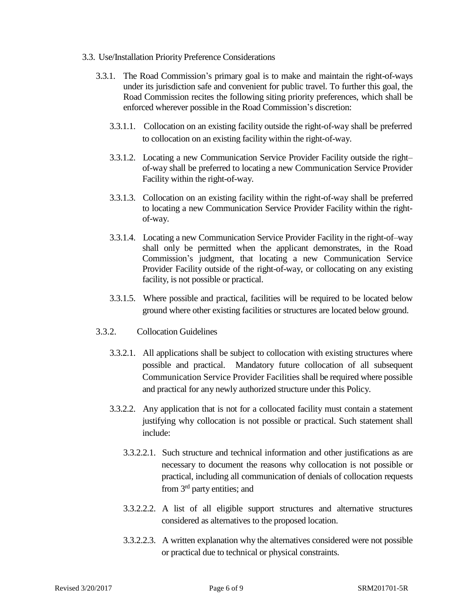- 3.3. Use/Installation Priority Preference Considerations
	- 3.3.1. The Road Commission's primary goal is to make and maintain the right-of-ways under its jurisdiction safe and convenient for public travel. To further this goal, the Road Commission recites the following siting priority preferences, which shall be enforced wherever possible in the Road Commission's discretion:
		- 3.3.1.1. Collocation on an existing facility outside the right-of-way shall be preferred to collocation on an existing facility within the right-of-way.
		- 3.3.1.2. Locating a new Communication Service Provider Facility outside the right– of-way shall be preferred to locating a new Communication Service Provider Facility within the right-of-way.
		- 3.3.1.3. Collocation on an existing facility within the right-of-way shall be preferred to locating a new Communication Service Provider Facility within the rightof-way.
		- 3.3.1.4. Locating a new Communication Service Provider Facility in the right-of–way shall only be permitted when the applicant demonstrates, in the Road Commission's judgment, that locating a new Communication Service Provider Facility outside of the right-of-way, or collocating on any existing facility, is not possible or practical.
		- 3.3.1.5. Where possible and practical, facilities will be required to be located below ground where other existing facilities or structures are located below ground.
	- 3.3.2. Collocation Guidelines
		- 3.3.2.1. All applications shall be subject to collocation with existing structures where possible and practical. Mandatory future collocation of all subsequent Communication Service Provider Facilities shall be required where possible and practical for any newly authorized structure under this Policy.
		- 3.3.2.2. Any application that is not for a collocated facility must contain a statement justifying why collocation is not possible or practical. Such statement shall include:
			- 3.3.2.2.1. Such structure and technical information and other justifications as are necessary to document the reasons why collocation is not possible or practical, including all communication of denials of collocation requests from 3<sup>rd</sup> party entities; and
			- 3.3.2.2.2. A list of all eligible support structures and alternative structures considered as alternatives to the proposed location.
			- 3.3.2.2.3. A written explanation why the alternatives considered were not possible or practical due to technical or physical constraints.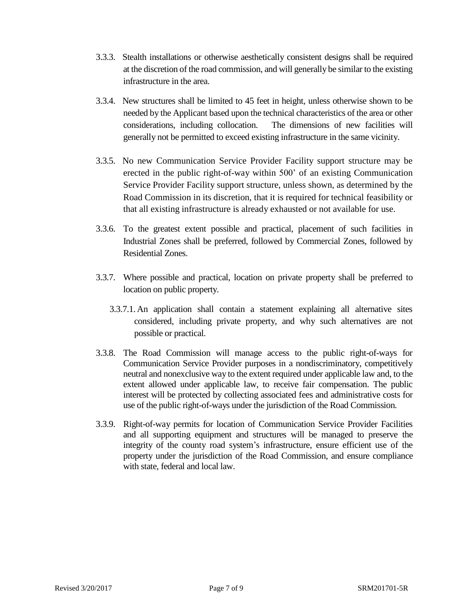- 3.3.3. Stealth installations or otherwise aesthetically consistent designs shall be required at the discretion of the road commission, and will generally be similar to the existing infrastructure in the area.
- 3.3.4. New structures shall be limited to 45 feet in height, unless otherwise shown to be needed by the Applicant based upon the technical characteristics of the area or other considerations, including collocation. The dimensions of new facilities will generally not be permitted to exceed existing infrastructure in the same vicinity.
- 3.3.5. No new Communication Service Provider Facility support structure may be erected in the public right-of-way within 500' of an existing Communication Service Provider Facility support structure, unless shown, as determined by the Road Commission in its discretion, that it is required for technical feasibility or that all existing infrastructure is already exhausted or not available for use.
- 3.3.6. To the greatest extent possible and practical, placement of such facilities in Industrial Zones shall be preferred, followed by Commercial Zones, followed by Residential Zones.
- 3.3.7. Where possible and practical, location on private property shall be preferred to location on public property.
	- 3.3.7.1. An application shall contain a statement explaining all alternative sites considered, including private property, and why such alternatives are not possible or practical.
- 3.3.8. The Road Commission will manage access to the public right-of-ways for Communication Service Provider purposes in a nondiscriminatory, competitively neutral and nonexclusive way to the extent required under applicable law and, to the extent allowed under applicable law, to receive fair compensation. The public interest will be protected by collecting associated fees and administrative costs for use of the public right-of-ways under the jurisdiction of the Road Commission.
- 3.3.9. Right-of-way permits for location of Communication Service Provider Facilities and all supporting equipment and structures will be managed to preserve the integrity of the county road system's infrastructure, ensure efficient use of the property under the jurisdiction of the Road Commission, and ensure compliance with state, federal and local law.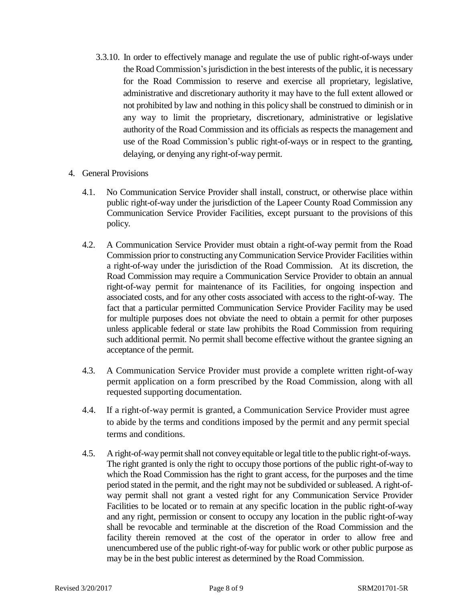- 3.3.10. In order to effectively manage and regulate the use of public right-of-ways under the Road Commission's jurisdiction in the best interests of the public, it is necessary for the Road Commission to reserve and exercise all proprietary, legislative, administrative and discretionary authority it may have to the full extent allowed or not prohibited by law and nothing in this policy shall be construed to diminish or in any way to limit the proprietary, discretionary, administrative or legislative authority of the Road Commission and its officials as respects the management and use of the Road Commission's public right-of-ways or in respect to the granting, delaying, or denying any right-of-way permit.
- 4. General Provisions
	- 4.1. No Communication Service Provider shall install, construct, or otherwise place within public right-of-way under the jurisdiction of the Lapeer County Road Commission any Communication Service Provider Facilities, except pursuant to the provisions of this policy.
	- 4.2. A Communication Service Provider must obtain a right-of-way permit from the Road Commission prior to constructing anyCommunication Service Provider Facilities within a right-of-way under the jurisdiction of the Road Commission. At its discretion, the Road Commission may require a Communication Service Provider to obtain an annual right-of-way permit for maintenance of its Facilities, for ongoing inspection and associated costs, and for any other costs associated with access to the right-of-way. The fact that a particular permitted Communication Service Provider Facility may be used for multiple purposes does not obviate the need to obtain a permit for other purposes unless applicable federal or state law prohibits the Road Commission from requiring such additional permit. No permit shall become effective without the grantee signing an acceptance of the permit.
	- 4.3. A Communication Service Provider must provide a complete written right-of-way permit application on a form prescribed by the Road Commission, along with all requested supporting documentation.
	- 4.4. If a right-of-way permit is granted, a Communication Service Provider must agree to abide by the terms and conditions imposed by the permit and any permit special terms and conditions.
	- 4.5. A right-of-waypermitshall not conveyequitable orlegal title to the public right-of-ways. The right granted is only the right to occupy those portions of the public right-of-way to which the Road Commission has the right to grant access, for the purposes and the time period stated in the permit, and the right may not be subdivided or subleased. A right-ofway permit shall not grant a vested right for any Communication Service Provider Facilities to be located or to remain at any specific location in the public right-of-way and any right, permission or consent to occupy any location in the public right-of-way shall be revocable and terminable at the discretion of the Road Commission and the facility therein removed at the cost of the operator in order to allow free and unencumbered use of the public right-of-way for public work or other public purpose as may be in the best public interest as determined by the Road Commission.